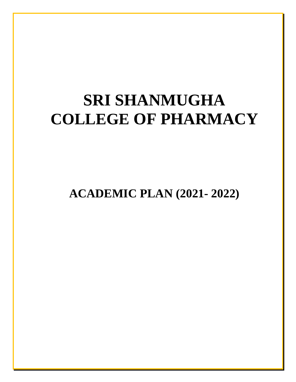# **SRI SHANMUGHA COLLEGE OF PHARMACY**

**ACADEMIC PLAN (2021- 2022)**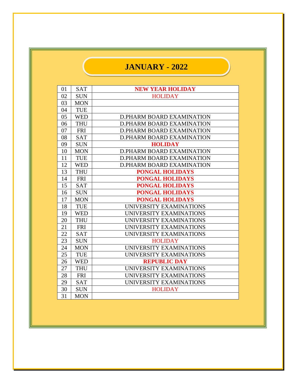## **JANUARY - 2022**

| 01 | <b>SAT</b> | <b>NEW YEAR HOLIDAY</b>          |
|----|------------|----------------------------------|
| 02 | <b>SUN</b> | <b>HOLIDAY</b>                   |
| 03 | <b>MON</b> |                                  |
| 04 | <b>TUE</b> |                                  |
| 05 | <b>WED</b> | <b>D.PHARM BOARD EXAMINATION</b> |
| 06 | <b>THU</b> | <b>D.PHARM BOARD EXAMINATION</b> |
| 07 | <b>FRI</b> | D.PHARM BOARD EXAMINATION        |
| 08 | <b>SAT</b> | <b>D.PHARM BOARD EXAMINATION</b> |
| 09 | <b>SUN</b> | <b>HOLIDAY</b>                   |
| 10 | <b>MON</b> | <b>D.PHARM BOARD EXAMINATION</b> |
| 11 | <b>TUE</b> | <b>D.PHARM BOARD EXAMINATION</b> |
| 12 | <b>WED</b> | <b>D.PHARM BOARD EXAMINATION</b> |
| 13 | <b>THU</b> | <b>PONGAL HOLIDAYS</b>           |
| 14 | <b>FRI</b> | <b>PONGAL HOLIDAYS</b>           |
| 15 | <b>SAT</b> | <b>PONGAL HOLIDAYS</b>           |
| 16 | <b>SUN</b> | <b>PONGAL HOLIDAYS</b>           |
| 17 | <b>MON</b> | <b>PONGAL HOLIDAYS</b>           |
| 18 | <b>TUE</b> | UNIVERSITY EXAMINATIONS          |
| 19 | <b>WED</b> | UNIVERSITY EXAMINATIONS          |
| 20 | <b>THU</b> | UNIVERSITY EXAMINATIONS          |
| 21 | <b>FRI</b> | UNIVERSITY EXAMINATIONS          |
| 22 | <b>SAT</b> | UNIVERSITY EXAMINATIONS          |
| 23 | <b>SUN</b> | <b>HOLIDAY</b>                   |
| 24 | <b>MON</b> | UNIVERSITY EXAMINATIONS          |
| 25 | <b>TUE</b> | UNIVERSITY EXAMINATIONS          |
| 26 | <b>WED</b> | <b>REPUBLIC DAY</b>              |
| 27 | <b>THU</b> | UNIVERSITY EXAMINATIONS          |
| 28 | <b>FRI</b> | UNIVERSITY EXAMINATIONS          |
| 29 | <b>SAT</b> | UNIVERSITY EXAMINATIONS          |
| 30 | <b>SUN</b> | <b>HOLIDAY</b>                   |
| 31 | <b>MON</b> |                                  |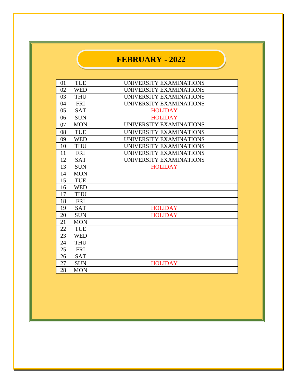#### **FEBRUARY - 2022**

| 01 | <b>TUE</b> | UNIVERSITY EXAMINATIONS |
|----|------------|-------------------------|
| 02 | <b>WED</b> | UNIVERSITY EXAMINATIONS |
| 03 | <b>THU</b> | UNIVERSITY EXAMINATIONS |
| 04 | <b>FRI</b> | UNIVERSITY EXAMINATIONS |
| 05 | <b>SAT</b> | <b>HOLIDAY</b>          |
| 06 | <b>SUN</b> | <b>HOLIDAY</b>          |
| 07 | <b>MON</b> | UNIVERSITY EXAMINATIONS |
| 08 | <b>TUE</b> | UNIVERSITY EXAMINATIONS |
| 09 | <b>WED</b> | UNIVERSITY EXAMINATIONS |
| 10 | <b>THU</b> | UNIVERSITY EXAMINATIONS |
| 11 | <b>FRI</b> | UNIVERSITY EXAMINATIONS |
| 12 | <b>SAT</b> | UNIVERSITY EXAMINATIONS |
| 13 | <b>SUN</b> | <b>HOLIDAY</b>          |
| 14 | <b>MON</b> |                         |
| 15 | <b>TUE</b> |                         |
| 16 | <b>WED</b> |                         |
| 17 | <b>THU</b> |                         |
| 18 | <b>FRI</b> |                         |
| 19 | <b>SAT</b> | <b>HOLIDAY</b>          |
| 20 | <b>SUN</b> | <b>HOLIDAY</b>          |
| 21 | <b>MON</b> |                         |
| 22 | <b>TUE</b> |                         |
| 23 | <b>WED</b> |                         |
| 24 | <b>THU</b> |                         |
| 25 | <b>FRI</b> |                         |
| 26 | <b>SAT</b> |                         |
| 27 | <b>SUN</b> | <b>HOLIDAY</b>          |
| 28 | <b>MON</b> |                         |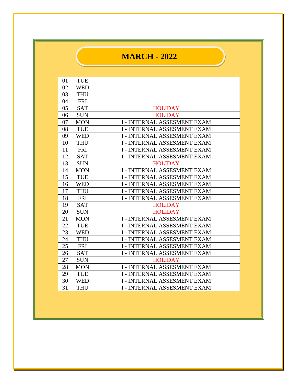#### **MARCH - 2022**

| 01 | <b>TUE</b> |                                    |
|----|------------|------------------------------------|
| 02 | <b>WED</b> |                                    |
| 03 | <b>THU</b> |                                    |
| 04 | <b>FRI</b> |                                    |
| 05 | <b>SAT</b> | <b>HOLIDAY</b>                     |
| 06 | <b>SUN</b> | <b>HOLIDAY</b>                     |
| 07 | <b>MON</b> | <b>I - INTERNAL ASSESMENT EXAM</b> |
| 08 | <b>TUE</b> | <b>I - INTERNAL ASSESMENT EXAM</b> |
| 09 | <b>WED</b> | <b>I-INTERNAL ASSESMENT EXAM</b>   |
| 10 | <b>THU</b> | <b>I-INTERNAL ASSESMENT EXAM</b>   |
| 11 | <b>FRI</b> | <b>I - INTERNAL ASSESMENT EXAM</b> |
| 12 | <b>SAT</b> | <b>I - INTERNAL ASSESMENT EXAM</b> |
| 13 | <b>SUN</b> | <b>HOLIDAY</b>                     |
| 14 | <b>MON</b> | <b>I - INTERNAL ASSESMENT EXAM</b> |
| 15 | <b>TUE</b> | <b>I-INTERNAL ASSESMENT EXAM</b>   |
| 16 | <b>WED</b> | <b>I-INTERNAL ASSESMENT EXAM</b>   |
| 17 | <b>THU</b> | <b>I - INTERNAL ASSESMENT EXAM</b> |
| 18 | <b>FRI</b> | <b>I - INTERNAL ASSESMENT EXAM</b> |
| 19 | <b>SAT</b> | <b>HOLIDAY</b>                     |
| 20 | <b>SUN</b> | <b>HOLIDAY</b>                     |
| 21 | <b>MON</b> | <b>I - INTERNAL ASSESMENT EXAM</b> |
| 22 | <b>TUE</b> | <b>I - INTERNAL ASSESMENT EXAM</b> |
| 23 | <b>WED</b> | <b>I - INTERNAL ASSESMENT EXAM</b> |
| 24 | <b>THU</b> | <b>I-INTERNAL ASSESMENT EXAM</b>   |
| 25 | <b>FRI</b> | <b>I - INTERNAL ASSESMENT EXAM</b> |
| 26 | <b>SAT</b> | <b>I - INTERNAL ASSESMENT EXAM</b> |
| 27 | <b>SUN</b> | <b>HOLIDAY</b>                     |
| 28 | <b>MON</b> | <b>I - INTERNAL ASSESMENT EXAM</b> |
| 29 | <b>TUE</b> | <b>I-INTERNAL ASSESMENT EXAM</b>   |
| 30 | <b>WED</b> | <b>I - INTERNAL ASSESMENT EXAM</b> |
| 31 | <b>THU</b> | <b>I-INTERNAL ASSESMENT EXAM</b>   |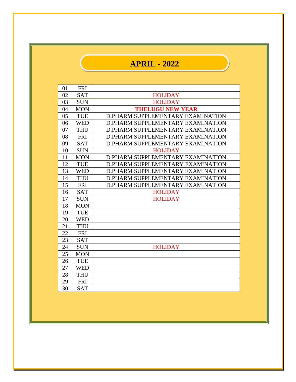## **APRIL - 2022**

| 01 | <b>FRI</b> |                                   |
|----|------------|-----------------------------------|
| 02 | <b>SAT</b> | <b>HOLIDAY</b>                    |
| 03 | <b>SUN</b> | <b>HOLIDAY</b>                    |
| 04 | <b>MON</b> | <b>THELUGU NEW YEAR</b>           |
| 05 | <b>TUE</b> | D.PHARM SUPPLEMENTARY EXAMINATION |
| 06 | <b>WED</b> | D.PHARM SUPPLEMENTARY EXAMINATION |
| 07 | <b>THU</b> | D.PHARM SUPPLEMENTARY EXAMINATION |
| 08 | <b>FRI</b> | D.PHARM SUPPLEMENTARY EXAMINATION |
| 09 | <b>SAT</b> | D.PHARM SUPPLEMENTARY EXAMINATION |
| 10 | <b>SUN</b> | <b>HOLIDAY</b>                    |
| 11 | <b>MON</b> | D.PHARM SUPPLEMENTARY EXAMINATION |
| 12 | <b>TUE</b> | D.PHARM SUPPLEMENTARY EXAMINATION |
| 13 | <b>WED</b> | D.PHARM SUPPLEMENTARY EXAMINATION |
| 14 | <b>THU</b> | D.PHARM SUPPLEMENTARY EXAMINATION |
| 15 | <b>FRI</b> | D.PHARM SUPPLEMENTARY EXAMINATION |
| 16 | <b>SAT</b> | <b>HOLIDAY</b>                    |
| 17 | <b>SUN</b> | <b>HOLIDAY</b>                    |
| 18 | <b>MON</b> |                                   |
| 19 | <b>TUE</b> |                                   |
| 20 | <b>WED</b> |                                   |
| 21 | <b>THU</b> |                                   |
| 22 | <b>FRI</b> |                                   |
| 23 | <b>SAT</b> |                                   |
| 24 | <b>SUN</b> | <b>HOLIDAY</b>                    |
| 25 | <b>MON</b> |                                   |
| 26 | <b>TUE</b> |                                   |
| 27 | <b>WED</b> |                                   |
| 28 | <b>THU</b> |                                   |
| 29 | <b>FRI</b> |                                   |
| 30 | <b>SAT</b> |                                   |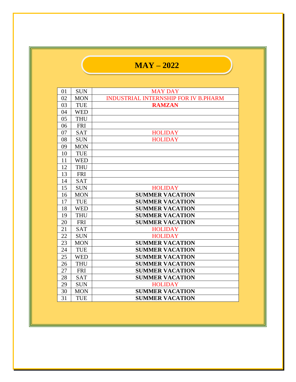## **MAY – 2022**

| 01 | <b>SUN</b> | <b>MAY DAY</b>                              |
|----|------------|---------------------------------------------|
| 02 | <b>MON</b> | <b>INDUSTRIAL INTERNSHIP FOR IV B.PHARM</b> |
| 03 | <b>TUE</b> | <b>RAMZAN</b>                               |
| 04 | <b>WED</b> |                                             |
| 05 | <b>THU</b> |                                             |
| 06 | <b>FRI</b> |                                             |
| 07 | <b>SAT</b> | <b>HOLIDAY</b>                              |
| 08 | <b>SUN</b> | <b>HOLIDAY</b>                              |
| 09 | <b>MON</b> |                                             |
| 10 | <b>TUE</b> |                                             |
| 11 | <b>WED</b> |                                             |
| 12 | <b>THU</b> |                                             |
| 13 | <b>FRI</b> |                                             |
| 14 | <b>SAT</b> |                                             |
| 15 | <b>SUN</b> | <b>HOLIDAY</b>                              |
| 16 | <b>MON</b> | <b>SUMMER VACATION</b>                      |
| 17 | <b>TUE</b> | <b>SUMMER VACATION</b>                      |
| 18 | <b>WED</b> | <b>SUMMER VACATION</b>                      |
| 19 | <b>THU</b> | <b>SUMMER VACATION</b>                      |
| 20 | <b>FRI</b> | <b>SUMMER VACATION</b>                      |
| 21 | <b>SAT</b> | <b>HOLIDAY</b>                              |
| 22 | <b>SUN</b> | <b>HOLIDAY</b>                              |
| 23 | <b>MON</b> | <b>SUMMER VACATION</b>                      |
| 24 | <b>TUE</b> | <b>SUMMER VACATION</b>                      |
| 25 | <b>WED</b> | <b>SUMMER VACATION</b>                      |
| 26 | <b>THU</b> | <b>SUMMER VACATION</b>                      |
| 27 | <b>FRI</b> | <b>SUMMER VACATION</b>                      |
| 28 | <b>SAT</b> | <b>SUMMER VACATION</b>                      |
| 29 | <b>SUN</b> | <b>HOLIDAY</b>                              |
| 30 | <b>MON</b> | <b>SUMMER VACATION</b>                      |
| 31 | <b>TUE</b> | <b>SUMMER VACATION</b>                      |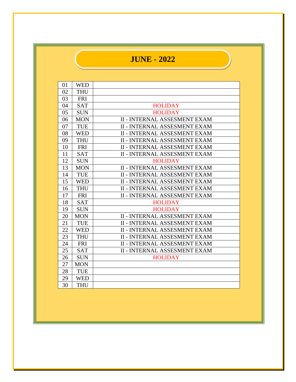## **JUNE - 2022**

| 01 | <b>WED</b> |                                     |
|----|------------|-------------------------------------|
| 02 | <b>THU</b> |                                     |
| 03 | <b>FRI</b> |                                     |
| 04 | <b>SAT</b> | <b>HOLIDAY</b>                      |
| 05 | <b>SUN</b> | <b>HOLIDAY</b>                      |
| 06 | <b>MON</b> | <b>II - INTERNAL ASSESMENT EXAM</b> |
| 07 | <b>TUE</b> | <b>II - INTERNAL ASSESMENT EXAM</b> |
| 08 | <b>WED</b> | <b>II - INTERNAL ASSESMENT EXAM</b> |
| 09 | <b>THU</b> | <b>II - INTERNAL ASSESMENT EXAM</b> |
| 10 | <b>FRI</b> | <b>II - INTERNAL ASSESMENT EXAM</b> |
| 11 | <b>SAT</b> | <b>II - INTERNAL ASSESMENT EXAM</b> |
| 12 | <b>SUN</b> | <b>HOLIDAY</b>                      |
| 13 | <b>MON</b> | <b>II - INTERNAL ASSESMENT EXAM</b> |
| 14 | <b>TUE</b> | <b>II - INTERNAL ASSESMENT EXAM</b> |
| 15 | <b>WED</b> | <b>II - INTERNAL ASSESMENT EXAM</b> |
| 16 | <b>THU</b> | <b>II - INTERNAL ASSESMENT EXAM</b> |
| 17 | <b>FRI</b> | <b>II - INTERNAL ASSESMENT EXAM</b> |
| 18 | <b>SAT</b> | <b>HOLIDAY</b>                      |
| 19 | <b>SUN</b> | <b>HOLIDAY</b>                      |
| 20 | <b>MON</b> | <b>II - INTERNAL ASSESMENT EXAM</b> |
| 21 | <b>TUE</b> | <b>II - INTERNAL ASSESMENT EXAM</b> |
| 22 | <b>WED</b> | <b>II - INTERNAL ASSESMENT EXAM</b> |
| 23 | <b>THU</b> | <b>II - INTERNAL ASSESMENT EXAM</b> |
| 24 | <b>FRI</b> | <b>II - INTERNAL ASSESMENT EXAM</b> |
| 25 | <b>SAT</b> | <b>II - INTERNAL ASSESMENT EXAM</b> |
| 26 | <b>SUN</b> | <b>HOLIDAY</b>                      |
| 27 | <b>MON</b> |                                     |
| 28 | <b>TUE</b> |                                     |
| 29 | <b>WED</b> |                                     |
| 30 | <b>THU</b> |                                     |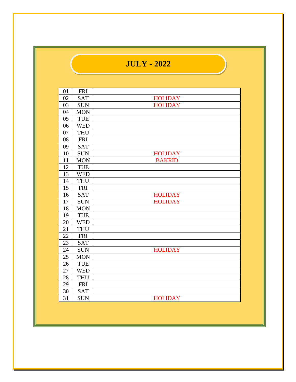## **JULY - 2022**

| 01     | <b>FRI</b> |                |
|--------|------------|----------------|
| 02     | <b>SAT</b> | <b>HOLIDAY</b> |
| 03     | <b>SUN</b> | <b>HOLIDAY</b> |
| 04     | <b>MON</b> |                |
| 05     | <b>TUE</b> |                |
| 06     | <b>WED</b> |                |
| 07     | <b>THU</b> |                |
| 08     | <b>FRI</b> |                |
| 09     | <b>SAT</b> |                |
| 10     | <b>SUN</b> | <b>HOLIDAY</b> |
| 11     | <b>MON</b> | <b>BAKRID</b>  |
| 12     | TUE        |                |
| 13     | <b>WED</b> |                |
| 14     | <b>THU</b> |                |
| 15     | <b>FRI</b> |                |
| 16     | <b>SAT</b> | <b>HOLIDAY</b> |
| 17     | <b>SUN</b> | <b>HOLIDAY</b> |
| 18     | <b>MON</b> |                |
| 19     | TUE        |                |
| 20     | <b>WED</b> |                |
| 21     | <b>THU</b> |                |
| 22     | <b>FRI</b> |                |
| 23     | <b>SAT</b> |                |
| 24     | <b>SUN</b> | <b>HOLIDAY</b> |
| 25     | <b>MON</b> |                |
| 26     | <b>TUE</b> |                |
| 27     | <b>WED</b> |                |
| $28\,$ | <b>THU</b> |                |
| 29     | <b>FRI</b> |                |
| 30     | <b>SAT</b> |                |
| 31     | <b>SUN</b> | <b>HOLIDAY</b> |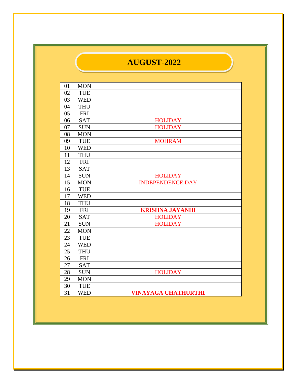#### **AUGUST-2022**

| 01 | <b>MON</b> |                            |
|----|------------|----------------------------|
| 02 | <b>TUE</b> |                            |
| 03 | <b>WED</b> |                            |
| 04 | <b>THU</b> |                            |
| 05 | <b>FRI</b> |                            |
| 06 | <b>SAT</b> | <b>HOLIDAY</b>             |
| 07 | <b>SUN</b> | <b>HOLIDAY</b>             |
| 08 | <b>MON</b> |                            |
| 09 | <b>TUE</b> | <b>MOHRAM</b>              |
| 10 | <b>WED</b> |                            |
| 11 | <b>THU</b> |                            |
| 12 | <b>FRI</b> |                            |
| 13 | <b>SAT</b> |                            |
| 14 | <b>SUN</b> | <b>HOLIDAY</b>             |
| 15 | <b>MON</b> | <b>INDEPENDENCE DAY</b>    |
| 16 | TUE        |                            |
| 17 | <b>WED</b> |                            |
| 18 | <b>THU</b> |                            |
| 19 | <b>FRI</b> | <b>KRISHNA JAYANHI</b>     |
| 20 | <b>SAT</b> | <b>HOLIDAY</b>             |
| 21 | <b>SUN</b> | <b>HOLIDAY</b>             |
| 22 | <b>MON</b> |                            |
| 23 | <b>TUE</b> |                            |
| 24 | <b>WED</b> |                            |
| 25 | <b>THU</b> |                            |
| 26 | <b>FRI</b> |                            |
| 27 | <b>SAT</b> |                            |
| 28 | <b>SUN</b> | <b>HOLIDAY</b>             |
| 29 | <b>MON</b> |                            |
| 30 | <b>TUE</b> |                            |
| 31 | <b>WED</b> | <b>VINAYAGA CHATHURTHI</b> |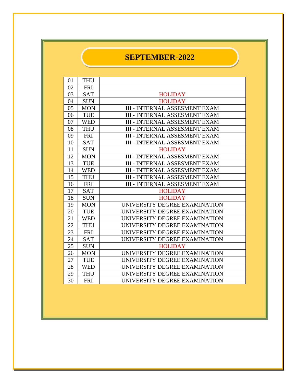#### **SEPTEMBER-2022**

| 01 | <b>THU</b> |                                      |
|----|------------|--------------------------------------|
| 02 | <b>FRI</b> |                                      |
| 03 | <b>SAT</b> | <b>HOLIDAY</b>                       |
| 04 | <b>SUN</b> | <b>HOLIDAY</b>                       |
| 05 | <b>MON</b> | <b>III - INTERNAL ASSESMENT EXAM</b> |
| 06 | <b>TUE</b> | <b>III - INTERNAL ASSESMENT EXAM</b> |
| 07 | <b>WED</b> | <b>III - INTERNAL ASSESMENT EXAM</b> |
| 08 | <b>THU</b> | <b>III - INTERNAL ASSESMENT EXAM</b> |
| 09 | <b>FRI</b> | <b>III - INTERNAL ASSESMENT EXAM</b> |
| 10 | <b>SAT</b> | <b>III - INTERNAL ASSESMENT EXAM</b> |
| 11 | <b>SUN</b> | <b>HOLIDAY</b>                       |
| 12 | <b>MON</b> | <b>III - INTERNAL ASSESMENT EXAM</b> |
| 13 | <b>TUE</b> | <b>III - INTERNAL ASSESMENT EXAM</b> |
| 14 | <b>WED</b> | <b>III - INTERNAL ASSESMENT EXAM</b> |
| 15 | <b>THU</b> | <b>III - INTERNAL ASSESMENT EXAM</b> |
| 16 | <b>FRI</b> | <b>III - INTERNAL ASSESMENT EXAM</b> |
| 17 | <b>SAT</b> | <b>HOLIDAY</b>                       |
| 18 | <b>SUN</b> | <b>HOLIDAY</b>                       |
| 19 | <b>MON</b> | UNIVERSITY DEGREE EXAMINATION        |
| 20 | <b>TUE</b> | UNIVERSITY DEGREE EXAMINATION        |
| 21 | <b>WED</b> | UNIVERSITY DEGREE EXAMINATION        |
| 22 | <b>THU</b> | UNIVERSITY DEGREE EXAMINATION        |
| 23 | <b>FRI</b> | UNIVERSITY DEGREE EXAMINATION        |
| 24 | <b>SAT</b> | UNIVERSITY DEGREE EXAMINATION        |
| 25 | <b>SUN</b> | <b>HOLIDAY</b>                       |
| 26 | <b>MON</b> | UNIVERSITY DEGREE EXAMINATION        |
| 27 | <b>TUE</b> | UNIVERSITY DEGREE EXAMINATION        |
| 28 | <b>WED</b> | UNIVERSITY DEGREE EXAMINATION        |
| 29 | <b>THU</b> | UNIVERSITY DEGREE EXAMINATION        |
| 30 | <b>FRI</b> | UNIVERSITY DEGREE EXAMINATION        |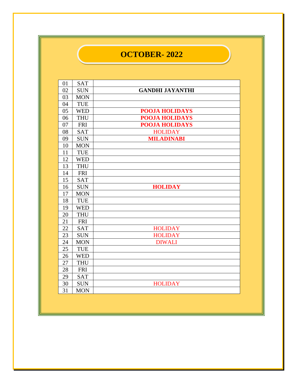#### **OCTOBER- 2022**

| 01 | <b>SAT</b> |                        |
|----|------------|------------------------|
| 02 | <b>SUN</b> | <b>GANDHI JAYANTHI</b> |
| 03 | <b>MON</b> |                        |
| 04 | <b>TUE</b> |                        |
| 05 | <b>WED</b> | <b>POOJA HOLIDAYS</b>  |
| 06 | <b>THU</b> | <b>POOJA HOLIDAYS</b>  |
| 07 | <b>FRI</b> | <b>POOJA HOLIDAYS</b>  |
| 08 | <b>SAT</b> | <b>HOLIDAY</b>         |
| 09 | <b>SUN</b> | <b>MILADINABI</b>      |
| 10 | <b>MON</b> |                        |
| 11 | <b>TUE</b> |                        |
| 12 | <b>WED</b> |                        |
| 13 | <b>THU</b> |                        |
| 14 | <b>FRI</b> |                        |
| 15 | <b>SAT</b> |                        |
| 16 | <b>SUN</b> | <b>HOLIDAY</b>         |
| 17 | <b>MON</b> |                        |
| 18 | <b>TUE</b> |                        |
| 19 | <b>WED</b> |                        |
| 20 | <b>THU</b> |                        |
| 21 | <b>FRI</b> |                        |
| 22 | <b>SAT</b> | <b>HOLIDAY</b>         |
| 23 | <b>SUN</b> | <b>HOLIDAY</b>         |
| 24 | <b>MON</b> | <b>DIWALI</b>          |
| 25 | <b>TUE</b> |                        |
| 26 | <b>WED</b> |                        |
| 27 | <b>THU</b> |                        |
| 28 | <b>FRI</b> |                        |
| 29 | <b>SAT</b> |                        |
| 30 | <b>SUN</b> | <b>HOLIDAY</b>         |
| 31 | <b>MON</b> |                        |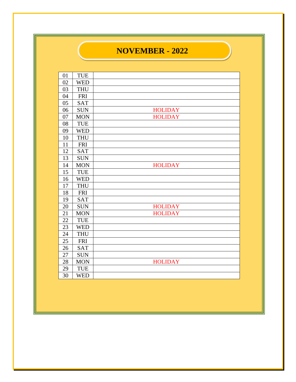### **NOVEMBER - 2022**

| 01 | <b>TUE</b> |                |
|----|------------|----------------|
| 02 | <b>WED</b> |                |
| 03 | <b>THU</b> |                |
| 04 | <b>FRI</b> |                |
| 05 | SAT        |                |
| 06 | <b>SUN</b> | <b>HOLIDAY</b> |
| 07 | <b>MON</b> | <b>HOLIDAY</b> |
| 08 | <b>TUE</b> |                |
| 09 | <b>WED</b> |                |
| 10 | <b>THU</b> |                |
| 11 | <b>FRI</b> |                |
| 12 | <b>SAT</b> |                |
| 13 | <b>SUN</b> |                |
| 14 | <b>MON</b> | <b>HOLIDAY</b> |
| 15 | <b>TUE</b> |                |
| 16 | <b>WED</b> |                |
| 17 | <b>THU</b> |                |
| 18 | <b>FRI</b> |                |
| 19 | <b>SAT</b> |                |
| 20 | <b>SUN</b> | <b>HOLIDAY</b> |
| 21 | <b>MON</b> | <b>HOLIDAY</b> |
| 22 | <b>TUE</b> |                |
| 23 | <b>WED</b> |                |
| 24 | <b>THU</b> |                |
| 25 | <b>FRI</b> |                |
| 26 | <b>SAT</b> |                |
| 27 | <b>SUN</b> |                |
| 28 | <b>MON</b> | <b>HOLIDAY</b> |
| 29 | <b>TUE</b> |                |
| 30 | <b>WED</b> |                |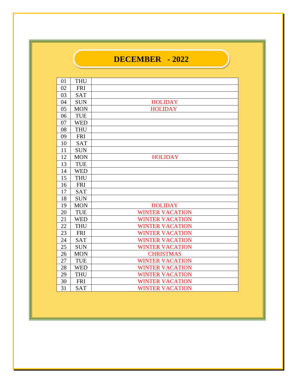## **DECEMBER - 2022**

| 01 | <b>THU</b> |                        |
|----|------------|------------------------|
| 02 | <b>FRI</b> |                        |
| 03 | <b>SAT</b> |                        |
| 04 | <b>SUN</b> | <b>HOLIDAY</b>         |
| 05 | <b>MON</b> | <b>HOLIDAY</b>         |
| 06 | TUE        |                        |
| 07 | <b>WED</b> |                        |
| 08 | <b>THU</b> |                        |
| 09 | <b>FRI</b> |                        |
| 10 | <b>SAT</b> |                        |
| 11 | <b>SUN</b> |                        |
| 12 | <b>MON</b> | <b>HOLIDAY</b>         |
| 13 | <b>TUE</b> |                        |
| 14 | <b>WED</b> |                        |
| 15 | <b>THU</b> |                        |
| 16 | <b>FRI</b> |                        |
| 17 | <b>SAT</b> |                        |
| 18 | <b>SUN</b> |                        |
| 19 | <b>MON</b> | <b>HOLIDAY</b>         |
| 20 | <b>TUE</b> | <b>WINTER VACATION</b> |
| 21 | <b>WED</b> | <b>WINTER VACATION</b> |
| 22 | <b>THU</b> | <b>WINTER VACATION</b> |
| 23 | <b>FRI</b> | <b>WINTER VACATION</b> |
| 24 | <b>SAT</b> | <b>WINTER VACATION</b> |
| 25 | <b>SUN</b> | <b>WINTER VACATION</b> |
| 26 | <b>MON</b> | <b>CHRISTMAS</b>       |
| 27 | <b>TUE</b> | <b>WINTER VACATION</b> |
| 28 | <b>WED</b> | <b>WINTER VACATION</b> |
| 29 | <b>THU</b> | <b>WINTER VACATION</b> |
| 30 | <b>FRI</b> | <b>WINTER VACATION</b> |
| 31 | <b>SAT</b> | <b>WINTER VACATION</b> |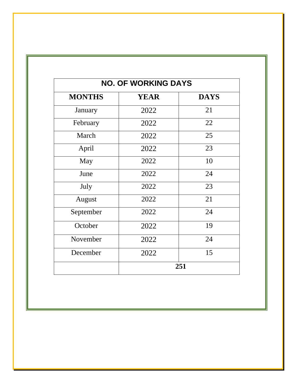| <b>NO. OF WORKING DAYS</b> |             |             |  |
|----------------------------|-------------|-------------|--|
| <b>MONTHS</b>              | <b>YEAR</b> | <b>DAYS</b> |  |
| January                    | 2022        | 21          |  |
| February                   | 2022        | 22          |  |
| March                      | 2022        | 25          |  |
| April                      | 2022        | 23          |  |
| May                        | 2022        | 10          |  |
| June                       | 2022        | 24          |  |
| July                       | 2022        | 23          |  |
| August                     | 2022        | 21          |  |
| September                  | 2022        | 24          |  |
| October                    | 2022        | 19          |  |
| November                   | 2022        | 24          |  |
| December                   | 2022        | 15          |  |
|                            |             | 251         |  |

Ī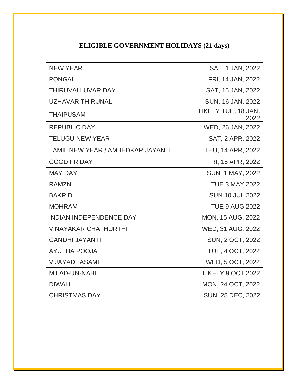#### **ELIGIBLE GOVERNMENT HOLIDAYS (21 days)**

| <b>NEW YEAR</b>                          | SAT, 1 JAN, 2022            |
|------------------------------------------|-----------------------------|
| <b>PONGAL</b>                            | FRI, 14 JAN, 2022           |
| THIRUVALLUVAR DAY                        | SAT, 15 JAN, 2022           |
| <b>UZHAVAR THIRUNAL</b>                  | SUN, 16 JAN, 2022           |
| <b>THAIPUSAM</b>                         | LIKELY TUE, 18 JAN,<br>2022 |
| <b>REPUBLIC DAY</b>                      | WED, 26 JAN, 2022           |
| <b>TELUGU NEW YEAR</b>                   | SAT, 2 APR, 2022            |
| <b>TAMIL NEW YEAR / AMBEDKAR JAYANTI</b> | THU, 14 APR, 2022           |
| <b>GOOD FRIDAY</b>                       | FRI, 15 APR, 2022           |
| <b>MAY DAY</b>                           | <b>SUN, 1 MAY, 2022</b>     |
| <b>RAMZN</b>                             | <b>TUE 3 MAY 2022</b>       |
| <b>BAKRID</b>                            | <b>SUN 10 JUL 2022</b>      |
| <b>MOHRAM</b>                            | <b>TUE 9 AUG 2022</b>       |
| <b>INDIAN INDEPENDENCE DAY</b>           | <b>MON, 15 AUG, 2022</b>    |
| <b>VINAYAKAR CHATHURTHI</b>              | WED, 31 AUG, 2022           |
| <b>GANDHI JAYANTI</b>                    | SUN, 2 OCT, 2022            |
| <b>AYUTHA POOJA</b>                      | <b>TUE, 4 OCT, 2022</b>     |
| VIJAYADHASAMI                            | WED, 5 OCT, 2022            |
| <b>MILAD-UN-NABI</b>                     | LIKELY 9 OCT 2022           |
| <b>DIWALI</b>                            | MON, 24 OCT, 2022           |
| <b>CHRISTMAS DAY</b>                     | SUN, 25 DEC, 2022           |